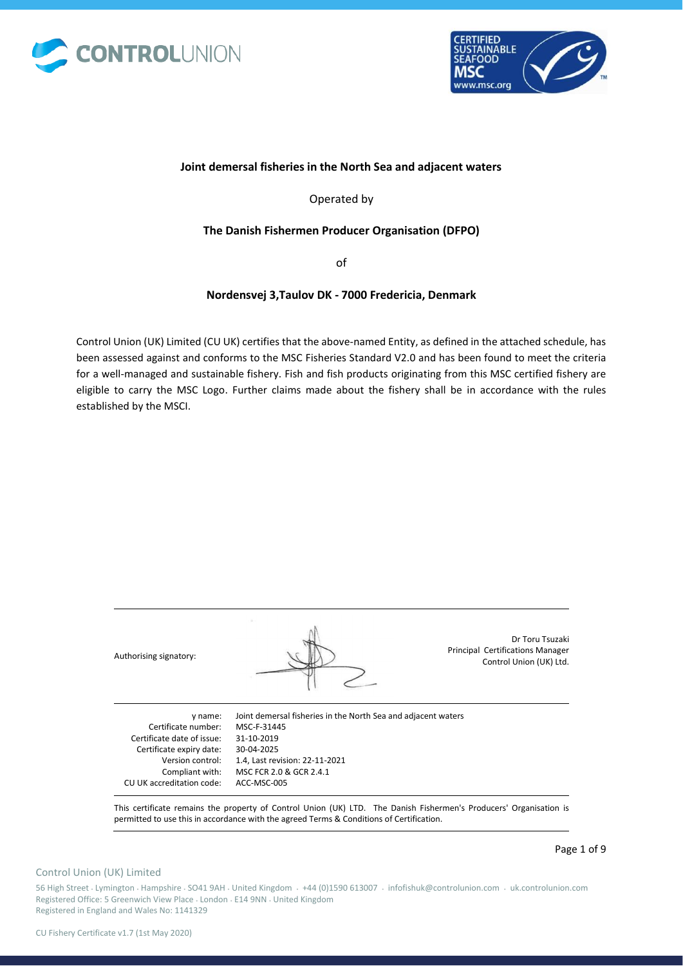



## **Joint demersal fisheries in the North Sea and adjacent waters**

Operated by

## **The Danish Fishermen Producer Organisation (DFPO)**

of

## **Nordensvej 3,Taulov DK - 7000 Fredericia, Denmark**

Control Union (UK) Limited (CU UK) certifies that the above-named Entity, as defined in the attached schedule, has been assessed against and conforms to the MSC Fisheries Standard V2.0 and has been found to meet the criteria for a well-managed and sustainable fishery. Fish and fish products originating from this MSC certified fishery are eligible to carry the MSC Logo. Further claims made about the fishery shall be in accordance with the rules established by the MSCI.

| Authorising signatory:     |                                                               | Dr Toru Tsuzaki<br><b>Principal Certifications Manager</b><br>Control Union (UK) Ltd. |
|----------------------------|---------------------------------------------------------------|---------------------------------------------------------------------------------------|
| y name:                    | Joint demersal fisheries in the North Sea and adjacent waters |                                                                                       |
| Certificate number:        | MSC-F-31445                                                   |                                                                                       |
| Certificate date of issue: | 31-10-2019                                                    |                                                                                       |
| Certificate expiry date:   | 30-04-2025                                                    |                                                                                       |

This certificate remains the property of Control Union (UK) LTD. The Danish Fishermen's Producers' Organisation is permitted to use this in accordance with the agreed Terms & Conditions of Certification.

## Control Union (UK) Limited

Page 1 of 9

56 High Street • Lymington • Hampshire • SO41 9AH • United Kingdom • +44 (0)1590 613007 • infofishuk@controlunion.com • uk.controlunion.com Registered Office: 5 Greenwich View Place • London • E14 9NN • United Kingdom Registered in England and Wales No: 1141329

1.4, Last revision: 22-11-2021 MSC FCR 2.0 & GCR 2.4.1

Version control: Compliant with: CU UK accreditation code: ACC-MSC-005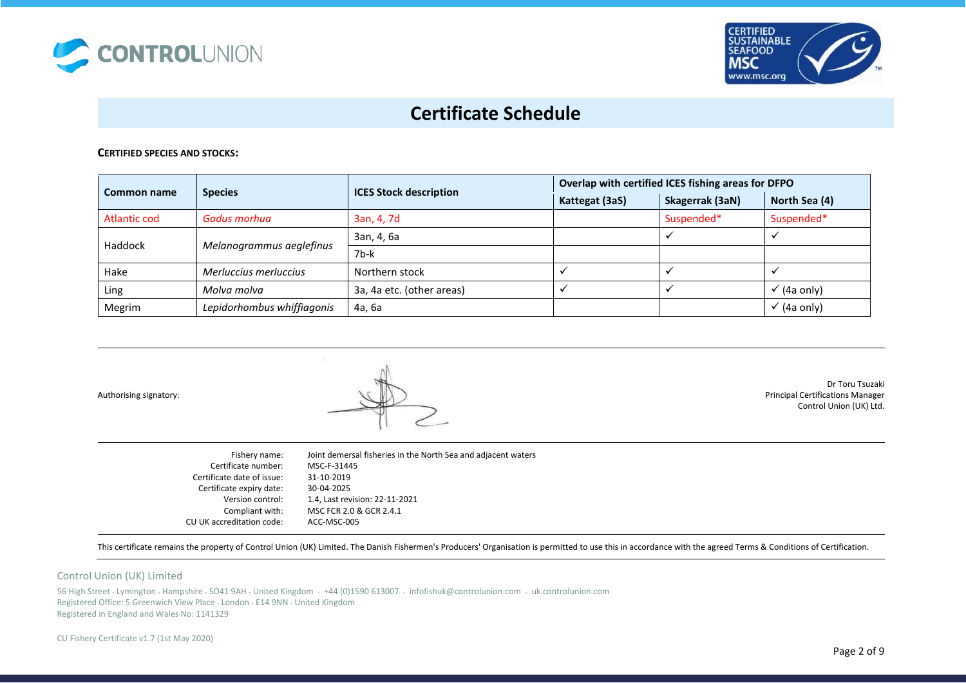



#### **CERTIFIED SPECIES AND STOCKS:**

|                     |                            |                               | Overlap with certified ICES fishing areas for DFPO |                 |                        |
|---------------------|----------------------------|-------------------------------|----------------------------------------------------|-----------------|------------------------|
| Common name         | <b>Species</b>             | <b>ICES Stock description</b> | Kattegat (3aS)                                     | Skagerrak (3aN) | North Sea (4)          |
| <b>Atlantic cod</b> | Gadus morhua               | 3an, 4, 7d                    |                                                    | Suspended*      | Suspended*             |
| Haddock             |                            | 3an, 4, 6a                    |                                                    |                 |                        |
|                     | Melanogrammus aeglefinus   | 7b-k                          |                                                    |                 |                        |
| Hake                | Merluccius merluccius      | Northern stock                |                                                    |                 |                        |
| Ling                | Molva molva                | 3a, 4a etc. (other areas)     |                                                    |                 | $\checkmark$ (4a only) |
| Megrim              | Lepidorhombus whiffiagonis | 4а, 6а                        |                                                    |                 | $\checkmark$ (4a only) |

Authorising signatory:



Dr Toru Tsuzaki Principal Certifications Manager Control Union (UK) Ltd.

| Fishery name:              | Joint demersal fisheries in the North Sea and adjacent waters |
|----------------------------|---------------------------------------------------------------|
| Certificate number:        | MSC-F-31445                                                   |
| Certificate date of issue: | 31-10-2019                                                    |
| Certificate expiry date:   | 30-04-2025                                                    |
| Version control:           | 1.4, Last revision: 22-11-2021                                |
| Compliant with:            | MSC FCR 2.0 & GCR 2.4.1                                       |
| CU UK accreditation code:  | ACC-MSC-005                                                   |

This certificate remains the property of Control Union (UK) Limited. The Danish Fishermen's Producers' Organisation is permitted to use this in accordance with the agreed Terms & Conditions of Certification.

#### Control Union (UK) Limited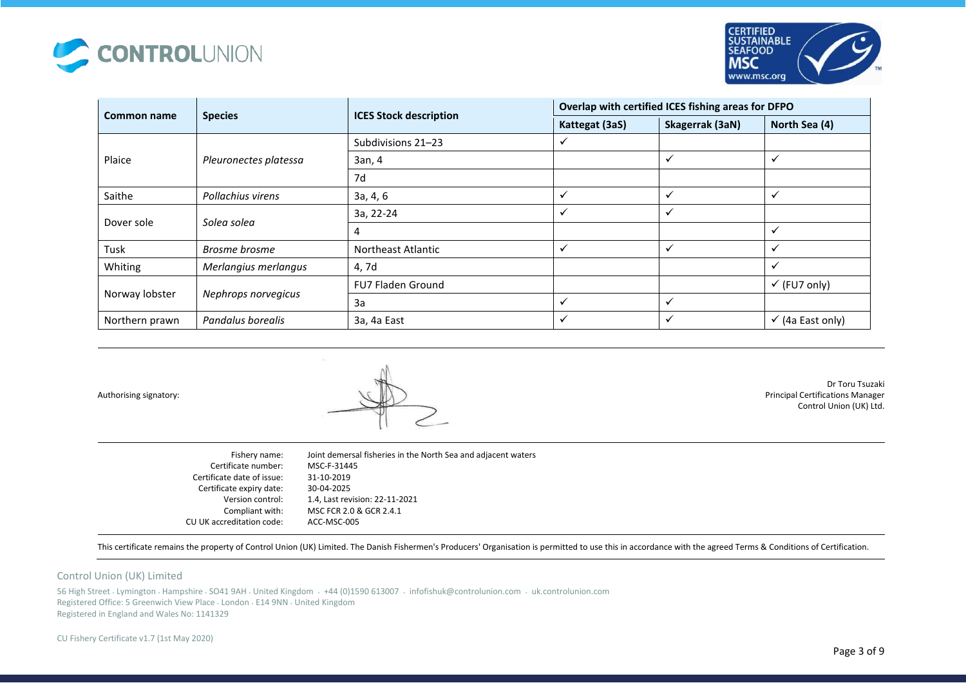



|                |                          |                               | Overlap with certified ICES fishing areas for DFPO |                         |                             |
|----------------|--------------------------|-------------------------------|----------------------------------------------------|-------------------------|-----------------------------|
| Common name    | <b>Species</b>           | <b>ICES Stock description</b> | Kattegat (3aS)                                     | Skagerrak (3aN)         | North Sea (4)               |
|                |                          | Subdivisions 21-23            | ✓                                                  |                         |                             |
| Plaice         | Pleuronectes platessa    | 3an, 4                        |                                                    | $\checkmark$            | $\checkmark$                |
|                |                          | 7d                            |                                                    |                         |                             |
| Saithe         | Pollachius virens        | 3a, 4, 6                      | $\checkmark$                                       | $\checkmark$            | $\checkmark$                |
|                |                          | 3a, 22-24                     | $\checkmark$                                       | $\checkmark$            |                             |
| Dover sole     | Solea solea              | 4                             |                                                    |                         | $\checkmark$                |
| Tusk           | Brosme brosme            | Northeast Atlantic            | $\checkmark$                                       | $\checkmark$            | $\checkmark$                |
| Whiting        | Merlangius merlangus     | 4,7d                          |                                                    |                         | $\checkmark$                |
|                | <b>FU7 Fladen Ground</b> |                               |                                                    | $\checkmark$ (FU7 only) |                             |
| Norway lobster | Nephrops norvegicus      | 3a                            | $\checkmark$                                       | $\checkmark$            |                             |
| Northern prawn | Pandalus borealis        | 3a, 4a East                   | ✓                                                  | ✓                       | $\checkmark$ (4a East only) |



Dr Toru Tsuzaki Principal Certifications Manager Control Union (UK) Ltd.

| Fishery name:              | Joint demersal fisheries in the North Sea and adjacent waters |
|----------------------------|---------------------------------------------------------------|
| Certificate number:        | MSC-F-31445                                                   |
| Certificate date of issue: | 31-10-2019                                                    |
| Certificate expiry date:   | 30-04-2025                                                    |
| Version control:           | 1.4, Last revision: 22-11-2021                                |
| Compliant with:            | MSC FCR 2.0 & GCR 2.4.1                                       |
| CU UK accreditation code:  | ACC-MSC-005                                                   |

This certificate remains the property of Control Union (UK) Limited. The Danish Fishermen's Producers' Organisation is permitted to use this in accordance with the agreed Terms & Conditions of Certification.

#### Control Union (UK) Limited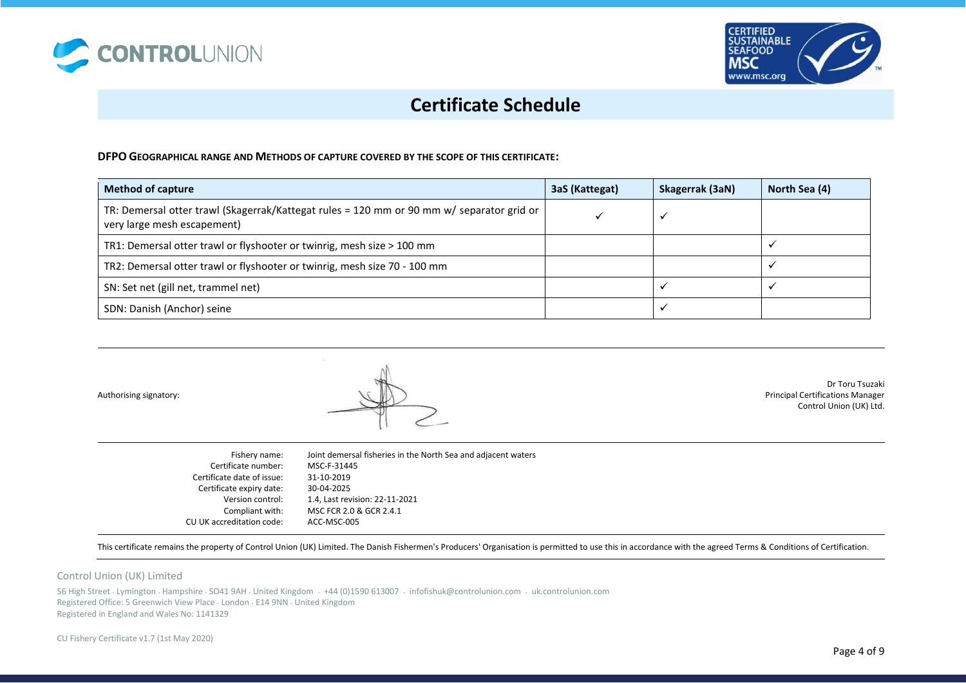



## **DFPO GEOGRAPHICAL RANGE AND METHODS OF CAPTURE COVERED BY THE SCOPE OF THIS CERTIFICATE:**

| <b>Method of capture</b>                                                                                                 | 3aS (Kattegat) | Skagerrak (3aN) | North Sea (4) |
|--------------------------------------------------------------------------------------------------------------------------|----------------|-----------------|---------------|
| TR: Demersal otter trawl (Skagerrak/Kattegat rules = 120 mm or 90 mm w/ separator grid or<br>very large mesh escapement) |                |                 |               |
| TR1: Demersal otter trawl or flyshooter or twinrig, mesh size > 100 mm                                                   |                |                 |               |
| TR2: Demersal otter trawl or flyshooter or twinrig, mesh size 70 - 100 mm                                                |                |                 |               |
| SN: Set net (gill net, trammel net)                                                                                      |                |                 |               |
| SDN: Danish (Anchor) seine                                                                                               |                |                 |               |

Authorising signatory:



Dr Toru Tsuzaki Principal Certifications Manager Control Union (UK) Ltd.

| Fishery name:              | Joint demersal fisheries in the North Sea and adjacent waters |
|----------------------------|---------------------------------------------------------------|
| Certificate number:        | MSC-F-31445                                                   |
| Certificate date of issue: | 31-10-2019                                                    |
| Certificate expiry date:   | 30-04-2025                                                    |
| Version control:           | 1.4, Last revision: 22-11-2021                                |
| Compliant with:            | MSC FCR 2.0 & GCR 2.4.1                                       |
| CU UK accreditation code:  | ACC-MSC-005                                                   |

This certificate remains the property of Control Union (UK) Limited. The Danish Fishermen's Producers' Organisation is permitted to use this in accordance with the agreed Terms & Conditions of Certification.

#### Control Union (UK) Limited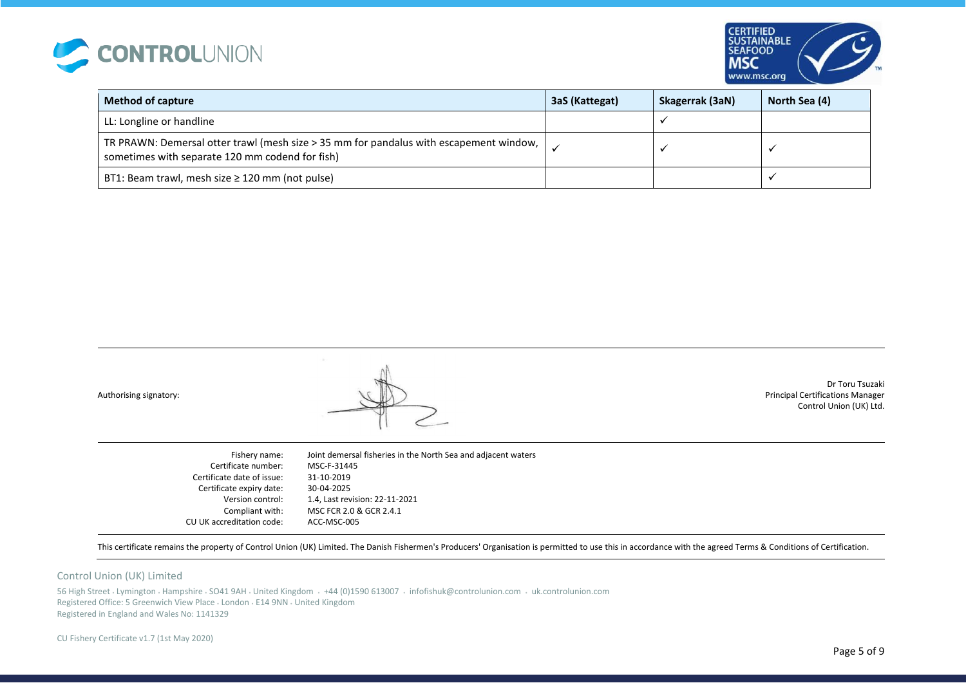



| <b>Method of capture</b>                                                                                                                          | 3aS (Kattegat) | Skagerrak (3aN) | North Sea (4) |
|---------------------------------------------------------------------------------------------------------------------------------------------------|----------------|-----------------|---------------|
| LL: Longline or handline                                                                                                                          |                |                 |               |
| TR PRAWN: Demersal otter trawl (mesh size > 35 mm for pandalus with escapement window, $\vert$<br>sometimes with separate 120 mm codend for fish) |                |                 |               |
| BT1: Beam trawl, mesh size $\geq$ 120 mm (not pulse)                                                                                              |                |                 |               |

Dr Toru Tsuzaki Principal Certifications Manager Control Union (UK) Ltd.

Fishery name: Certificate number: Certificate date of issue: Certificate expiry date: Version control: Compliant with: CU UK accreditation code: Joint demersal fisheries in the North Sea and adjacent waters MSC-F-31445 31-10-2019 30-04-2025 1.4, Last revision: 22-11-2021 MSC FCR 2.0 & GCR 2.4.1 ACC-MSC-005

This certificate remains the property of Control Union (UK) Limited. The Danish Fishermen's Producers' Organisation is permitted to use this in accordance with the agreed Terms & Conditions of Certification.

#### Control Union (UK) Limited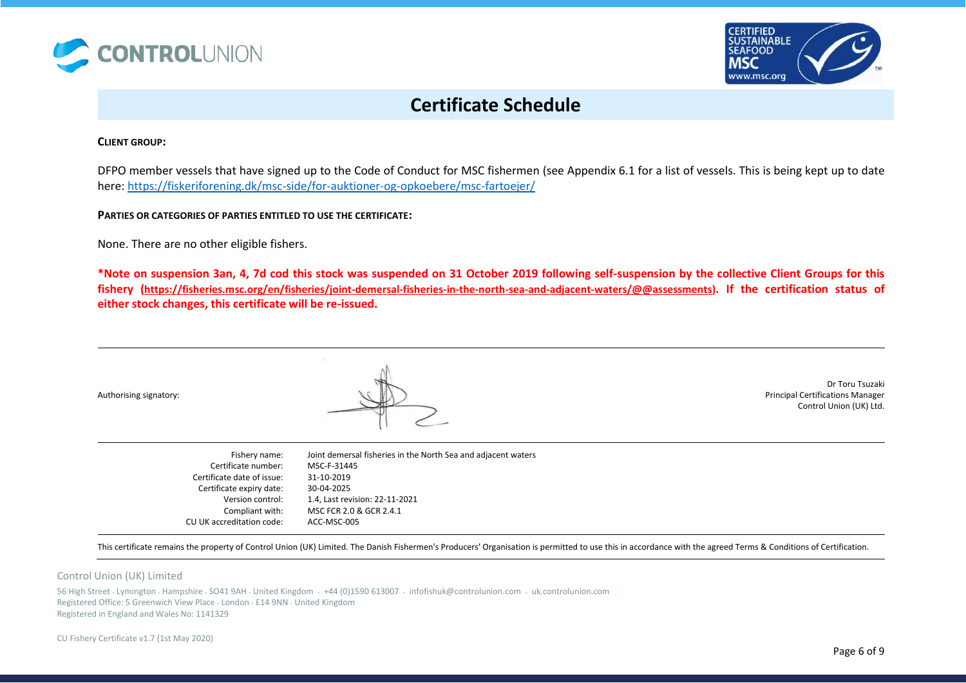



### **CLIENT GROUP:**

DFPO member vessels that have signed up to the Code of Conduct for MSC fishermen (see Appendix 6.1 for a list of vessels. This is being kept up to date here: [https://fiskeriforening.dk/msc-side/for-auktioner-og-opkoebere/msc-fartoejer/](https://protect-de.mimecast.com/s/4mRGCLZjyqFRwWWLuBCIfw?domain=fiskeriforening.dk/)

**PARTIES OR CATEGORIES OF PARTIES ENTITLED TO USE THE CERTIFICATE:** 

None. There are no other eligible fishers.

**\*Note on suspension 3an, 4, 7d cod this stock was suspended on 31 October 2019 following self-suspension by the collective Client Groups for this fishery ([https://fisheries.msc.org/en/fisheries/joint-demersal-fisheries-in-the-north-sea-and-adjacent-waters/@@assessments\)](https://fisheries.msc.org/en/fisheries/joint-demersal-fisheries-in-the-north-sea-and-adjacent-waters/@@assessments). If the certification status of either stock changes, this certificate will be re-issued.** 

Authorising signatory:



Dr Toru Tsuzaki Principal Certifications Manager Control Union (UK) Ltd.

| Fishery name:<br>Certificate number: | Joint demersal fisheries in the North Sea and adjacent waters<br>MSC-F-31445 |
|--------------------------------------|------------------------------------------------------------------------------|
| Certificate date of issue:           | 31-10-2019                                                                   |
| Certificate expiry date:             | 30-04-2025                                                                   |
| Version control:                     | 1.4, Last revision: 22-11-2021                                               |
| Compliant with:                      | MSC FCR 2.0 & GCR 2.4.1                                                      |
| CU UK accreditation code:            | ACC-MSC-005                                                                  |

This certificate remains the property of Control Union (UK) Limited. The Danish Fishermen's Producers' Organisation is permitted to use this in accordance with the agreed Terms & Conditions of Certification.

#### Control Union (UK) Limited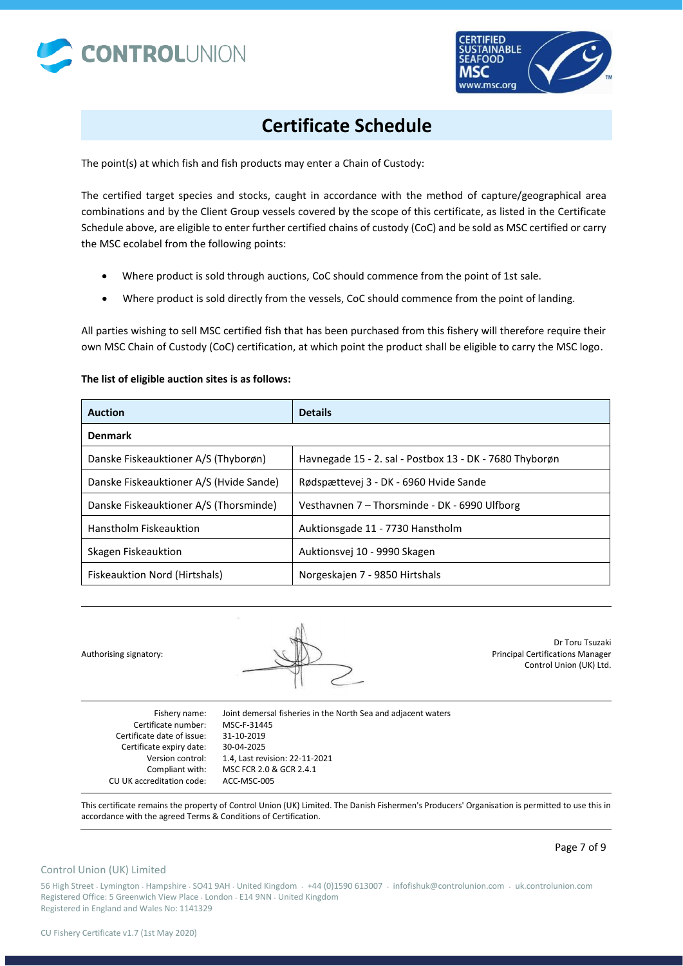



The point(s) at which fish and fish products may enter a Chain of Custody:

The certified target species and stocks, caught in accordance with the method of capture/geographical area combinations and by the Client Group vessels covered by the scope of this certificate, as listed in the Certificate Schedule above, are eligible to enter further certified chains of custody (CoC) and be sold as MSC certified or carry the MSC ecolabel from the following points:

- Where product is sold through auctions, CoC should commence from the point of 1st sale.
- Where product is sold directly from the vessels, CoC should commence from the point of landing.

All parties wishing to sell MSC certified fish that has been purchased from this fishery will therefore require their own MSC Chain of Custody (CoC) certification, at which point the product shall be eligible to carry the MSC logo.

## **The list of eligible auction sites is as follows:**

| <b>Auction</b>                          | <b>Details</b>                                          |
|-----------------------------------------|---------------------------------------------------------|
| <b>Denmark</b>                          |                                                         |
| Danske Fiskeauktioner A/S (Thyborøn)    | Havnegade 15 - 2. sal - Postbox 13 - DK - 7680 Thyborøn |
| Danske Fiskeauktioner A/S (Hvide Sande) | Rødspættevej 3 - DK - 6960 Hvide Sande                  |
| Danske Fiskeauktioner A/S (Thorsminde)  | Vesthavnen 7 - Thorsminde - DK - 6990 Ulfborg           |
| Hanstholm Fiskeauktion                  | Auktionsgade 11 - 7730 Hanstholm                        |
| Skagen Fiskeauktion                     | Auktionsvej 10 - 9990 Skagen                            |
| Fiskeauktion Nord (Hirtshals)           | Norgeskajen 7 - 9850 Hirtshals                          |

Authorising signatory:

Dr Toru Tsuzaki Principal Certifications Manager Control Union (UK) Ltd.

Fishery name: Certificate number: Certificate date of issue: Certificate expiry date: Version control: Compliant with: CU UK accreditation code: Joint demersal fisheries in the North Sea and adjacent waters MSC-F-31445 31-10-2019 30-04-2025 1.4, Last revision: 22-11-2021 MSC FCR 2.0 & GCR 2.4.1 ACC-MSC-005

This certificate remains the property of Control Union (UK) Limited. The Danish Fishermen's Producers' Organisation is permitted to use this in accordance with the agreed Terms & Conditions of Certification.

### Control Union (UK) Limited

Page 7 of 9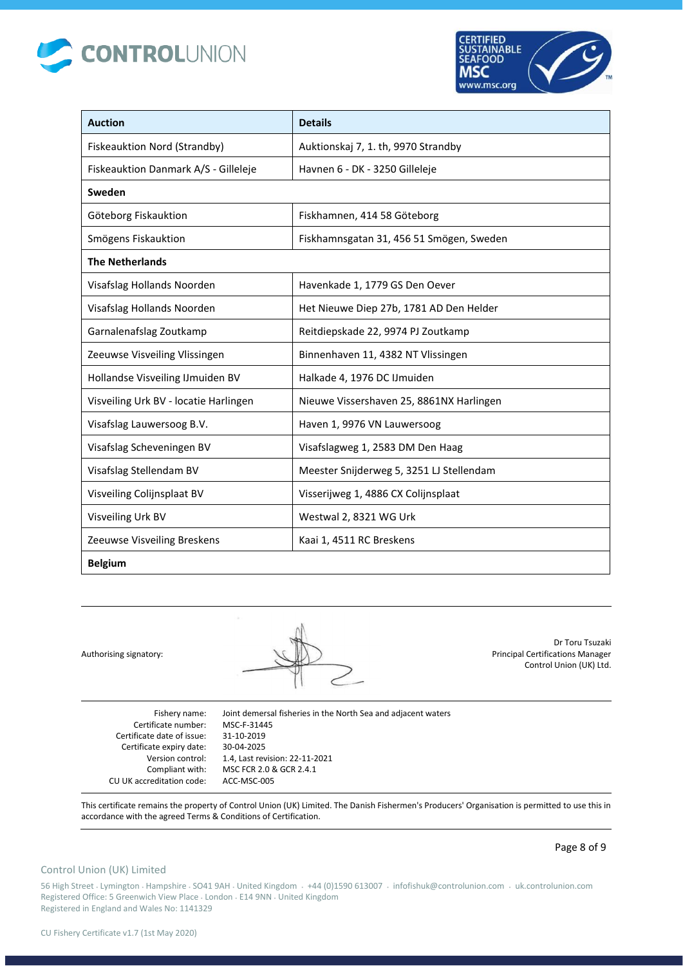



| <b>Auction</b>                        | <b>Details</b>                           |
|---------------------------------------|------------------------------------------|
| Fiskeauktion Nord (Strandby)          | Auktionskaj 7, 1. th, 9970 Strandby      |
| Fiskeauktion Danmark A/S - Gilleleje  | Havnen 6 - DK - 3250 Gilleleje           |
| Sweden                                |                                          |
| Göteborg Fiskauktion                  | Fiskhamnen, 414 58 Göteborg              |
| Smögens Fiskauktion                   | Fiskhamnsgatan 31, 456 51 Smögen, Sweden |
| <b>The Netherlands</b>                |                                          |
| Visafslag Hollands Noorden            | Havenkade 1, 1779 GS Den Oever           |
| Visafslag Hollands Noorden            | Het Nieuwe Diep 27b, 1781 AD Den Helder  |
| Garnalenafslag Zoutkamp               | Reitdiepskade 22, 9974 PJ Zoutkamp       |
| Zeeuwse Visveiling Vlissingen         | Binnenhaven 11, 4382 NT Vlissingen       |
| Hollandse Visveiling IJmuiden BV      | Halkade 4, 1976 DC IJmuiden              |
| Visveiling Urk BV - locatie Harlingen | Nieuwe Vissershaven 25, 8861NX Harlingen |
| Visafslag Lauwersoog B.V.             | Haven 1, 9976 VN Lauwersoog              |
| Visafslag Scheveningen BV             | Visafslagweg 1, 2583 DM Den Haag         |
| Visafslag Stellendam BV               | Meester Snijderweg 5, 3251 LJ Stellendam |
| Visveiling Colijnsplaat BV            | Visserijweg 1, 4886 CX Colijnsplaat      |
| Visveiling Urk BV                     | Westwal 2, 8321 WG Urk                   |
| Zeeuwse Visveiling Breskens           | Kaai 1, 4511 RC Breskens                 |
| <b>Belgium</b>                        |                                          |

Dr Toru Tsuzaki Principal Certifications Manager Control Union (UK) Ltd.

Fishery name: Certificate number: Certificate date of issue: Certificate expiry date: Version control: Compliant with: CU UK accreditation code: MSC-F-31445 31-10-2019 30-04-2025 ACC-MSC-005

Joint demersal fisheries in the North Sea and adjacent waters 1.4, Last revision: 22-11-2021 MSC FCR 2.0 & GCR 2.4.1

This certificate remains the property of Control Union (UK) Limited. The Danish Fishermen's Producers' Organisation is permitted to use this in accordance with the agreed Terms & Conditions of Certification.

### Control Union (UK) Limited

Page 8 of 9